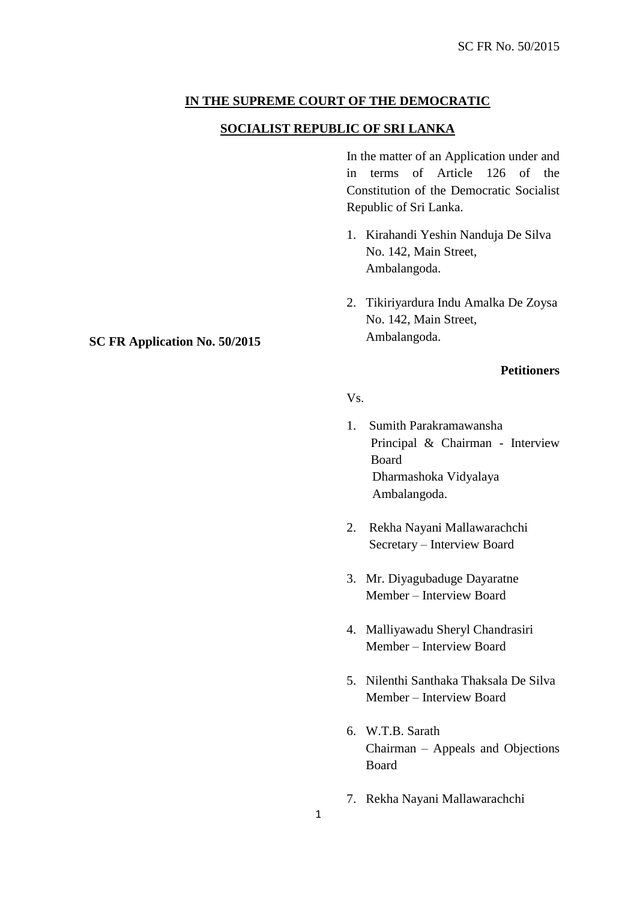# **IN THE SUPREME COURT OF THE DEMOCRATIC**

## **SOCIALIST REPUBLIC OF SRI LANKA**

In the matter of an Application under and in terms of Article 126 of the Constitution of the Democratic Socialist Republic of Sri Lanka.

- 1. Kirahandi Yeshin Nanduja De Silva No. 142, Main Street, Ambalangoda.
- 2. Tikiriyardura Indu Amalka De Zoysa No. 142, Main Street, Ambalangoda.

# **Petitioners**

- Vs.
- 1. Sumith Parakramawansha Principal & Chairman - Interview Board Dharmashoka Vidyalaya Ambalangoda.
- 2. Rekha Nayani Mallawarachchi Secretary – Interview Board
- 3. Mr. Diyagubaduge Dayaratne Member – Interview Board
- 4. Malliyawadu Sheryl Chandrasiri Member – Interview Board
- 5. Nilenthi Santhaka Thaksala De Silva Member – Interview Board
- 6. W.T.B. Sarath Chairman – Appeals and Objections Board
- 7. Rekha Nayani Mallawarachchi

## **SC FR Application No. 50/2015**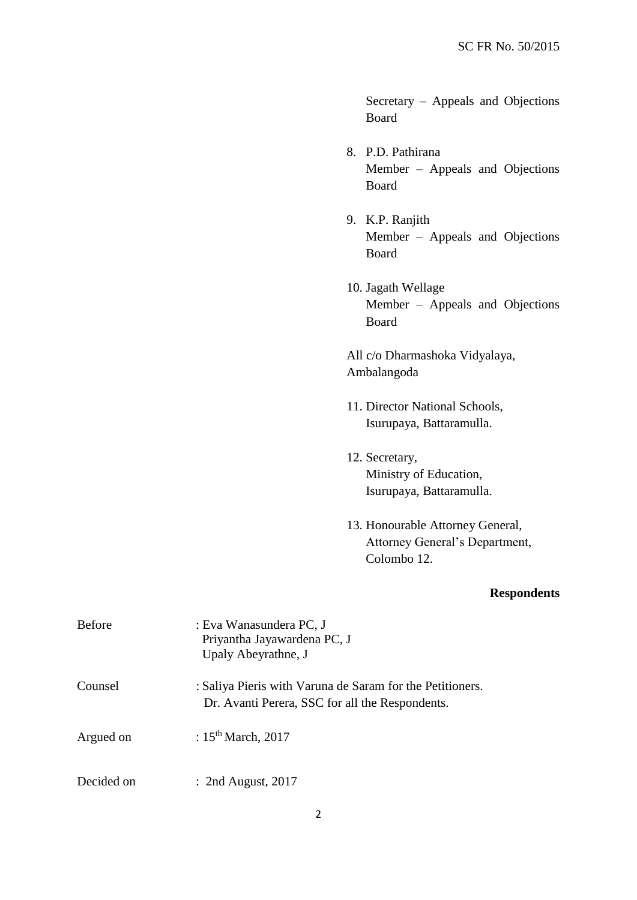Secretary – Appeals and Objections Board

- 8. P.D. Pathirana Member – Appeals and Objections Board
- 9. K.P. Ranjith Member – Appeals and Objections Board
- 10. Jagath Wellage Member – Appeals and Objections Board

All c/o Dharmashoka Vidyalaya, Ambalangoda

- 11. Director National Schools, Isurupaya, Battaramulla.
- 12. Secretary, Ministry of Education, Isurupaya, Battaramulla.
- 13. Honourable Attorney General, Attorney General's Department, Colombo 12.

# **Respondents**

| <b>Before</b> | : Eva Wanasundera PC, J<br>Priyantha Jayawardena PC, J<br>Upaly Abeyrathne, J                                |
|---------------|--------------------------------------------------------------------------------------------------------------|
| Counsel       | : Saliya Pieris with Varuna de Saram for the Petitioners.<br>Dr. Avanti Perera, SSC for all the Respondents. |
| Argued on     | : $15th March$ , 2017                                                                                        |
| Decided on    | $:$ 2nd August, 2017                                                                                         |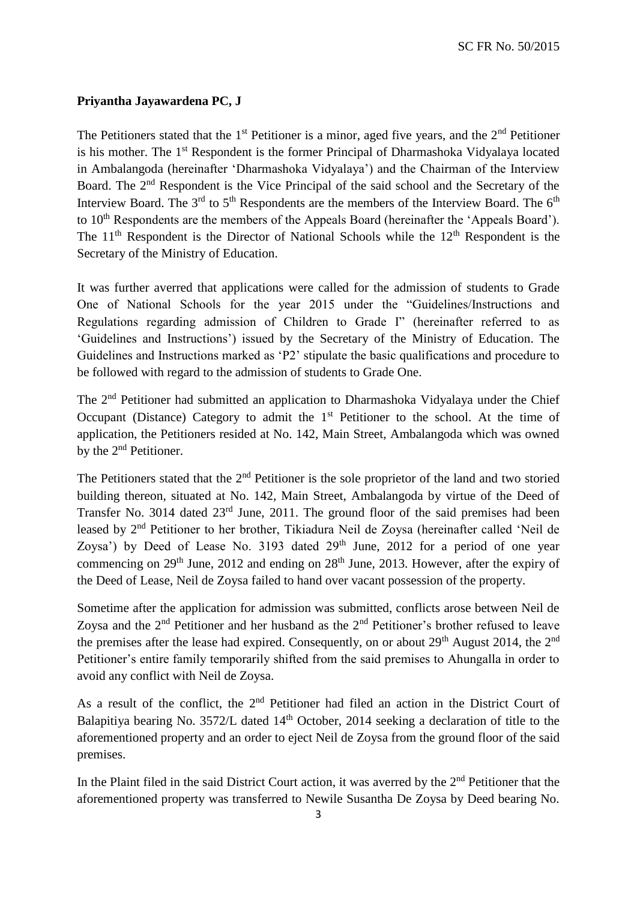SC FR No. 50/2015

## **Priyantha Jayawardena PC, J**

The Petitioners stated that the  $1<sup>st</sup>$  Petitioner is a minor, aged five years, and the  $2<sup>nd</sup>$  Petitioner is his mother. The 1st Respondent is the former Principal of Dharmashoka Vidyalaya located in Ambalangoda (hereinafter 'Dharmashoka Vidyalaya') and the Chairman of the Interview Board. The 2<sup>nd</sup> Respondent is the Vice Principal of the said school and the Secretary of the Interview Board. The  $3<sup>rd</sup>$  to  $5<sup>th</sup>$  Respondents are the members of the Interview Board. The  $6<sup>th</sup>$ to 10<sup>th</sup> Respondents are the members of the Appeals Board (hereinafter the 'Appeals Board'). The  $11<sup>th</sup>$  Respondent is the Director of National Schools while the  $12<sup>th</sup>$  Respondent is the Secretary of the Ministry of Education.

It was further averred that applications were called for the admission of students to Grade One of National Schools for the year 2015 under the "Guidelines/Instructions and Regulations regarding admission of Children to Grade I" (hereinafter referred to as 'Guidelines and Instructions') issued by the Secretary of the Ministry of Education. The Guidelines and Instructions marked as 'P2' stipulate the basic qualifications and procedure to be followed with regard to the admission of students to Grade One.

The 2nd Petitioner had submitted an application to Dharmashoka Vidyalaya under the Chief Occupant (Distance) Category to admit the  $1<sup>st</sup>$  Petitioner to the school. At the time of application, the Petitioners resided at No. 142, Main Street, Ambalangoda which was owned by the 2<sup>nd</sup> Petitioner.

The Petitioners stated that the 2<sup>nd</sup> Petitioner is the sole proprietor of the land and two storied building thereon, situated at No. 142, Main Street, Ambalangoda by virtue of the Deed of Transfer No. 3014 dated 23rd June, 2011. The ground floor of the said premises had been leased by 2nd Petitioner to her brother, Tikiadura Neil de Zoysa (hereinafter called 'Neil de Zoysa') by Deed of Lease No. 3193 dated  $29<sup>th</sup>$  June, 2012 for a period of one year commencing on  $29<sup>th</sup>$  June,  $2012$  and ending on  $28<sup>th</sup>$  June, 2013. However, after the expiry of the Deed of Lease, Neil de Zoysa failed to hand over vacant possession of the property.

Sometime after the application for admission was submitted, conflicts arose between Neil de Zoysa and the  $2<sup>nd</sup>$  Petitioner and her husband as the  $2<sup>nd</sup>$  Petitioner's brother refused to leave the premises after the lease had expired. Consequently, on or about  $29<sup>th</sup>$  August 2014, the  $2<sup>nd</sup>$ Petitioner's entire family temporarily shifted from the said premises to Ahungalla in order to avoid any conflict with Neil de Zoysa.

As a result of the conflict, the  $2<sup>nd</sup>$  Petitioner had filed an action in the District Court of Balapitiya bearing No. 3572/L dated 14<sup>th</sup> October, 2014 seeking a declaration of title to the aforementioned property and an order to eject Neil de Zoysa from the ground floor of the said premises.

In the Plaint filed in the said District Court action, it was averred by the  $2<sup>nd</sup>$  Petitioner that the aforementioned property was transferred to Newile Susantha De Zoysa by Deed bearing No.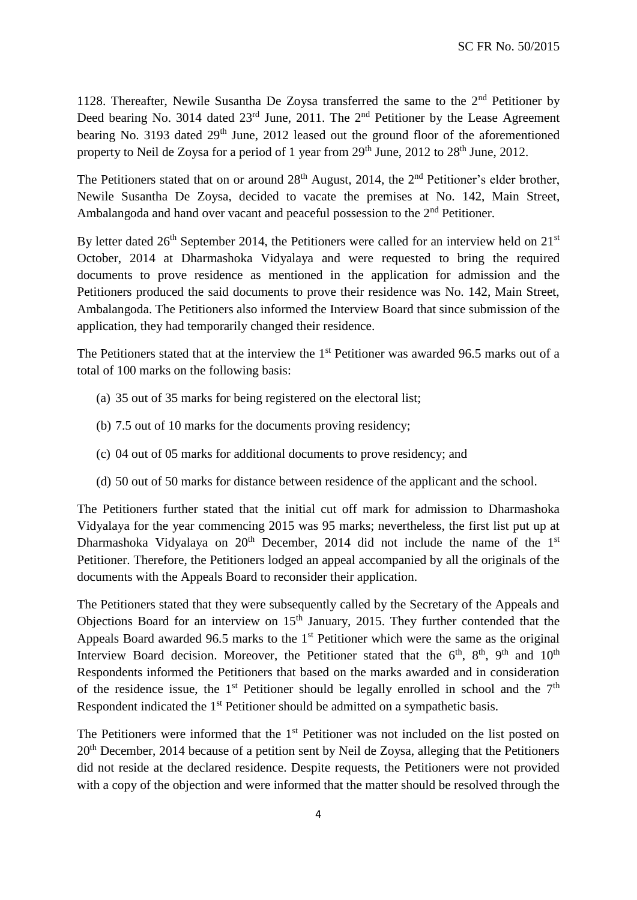1128. Thereafter, Newile Susantha De Zoysa transferred the same to the  $2<sup>nd</sup>$  Petitioner by Deed bearing No. 3014 dated 23<sup>rd</sup> June, 2011. The 2<sup>nd</sup> Petitioner by the Lease Agreement bearing No. 3193 dated 29<sup>th</sup> June, 2012 leased out the ground floor of the aforementioned property to Neil de Zoysa for a period of 1 year from  $29<sup>th</sup>$  June,  $2012$  to  $28<sup>th</sup>$  June,  $2012$ .

The Petitioners stated that on or around  $28<sup>th</sup>$  August, 2014, the  $2<sup>nd</sup>$  Petitioner's elder brother, Newile Susantha De Zoysa, decided to vacate the premises at No. 142, Main Street, Ambalangoda and hand over vacant and peaceful possession to the 2<sup>nd</sup> Petitioner.

By letter dated  $26<sup>th</sup>$  September 2014, the Petitioners were called for an interview held on  $21<sup>st</sup>$ October, 2014 at Dharmashoka Vidyalaya and were requested to bring the required documents to prove residence as mentioned in the application for admission and the Petitioners produced the said documents to prove their residence was No. 142, Main Street, Ambalangoda. The Petitioners also informed the Interview Board that since submission of the application, they had temporarily changed their residence.

The Petitioners stated that at the interview the 1<sup>st</sup> Petitioner was awarded 96.5 marks out of a total of 100 marks on the following basis:

- (a) 35 out of 35 marks for being registered on the electoral list;
- (b) 7.5 out of 10 marks for the documents proving residency;
- (c) 04 out of 05 marks for additional documents to prove residency; and
- (d) 50 out of 50 marks for distance between residence of the applicant and the school.

The Petitioners further stated that the initial cut off mark for admission to Dharmashoka Vidyalaya for the year commencing 2015 was 95 marks; nevertheless, the first list put up at Dharmashoka Vidyalaya on  $20<sup>th</sup>$  December, 2014 did not include the name of the  $1<sup>st</sup>$ Petitioner. Therefore, the Petitioners lodged an appeal accompanied by all the originals of the documents with the Appeals Board to reconsider their application.

The Petitioners stated that they were subsequently called by the Secretary of the Appeals and Objections Board for an interview on  $15<sup>th</sup>$  January, 2015. They further contended that the Appeals Board awarded 96.5 marks to the 1<sup>st</sup> Petitioner which were the same as the original Interview Board decision. Moreover, the Petitioner stated that the  $6<sup>th</sup>$ ,  $8<sup>th</sup>$ ,  $9<sup>th</sup>$  and  $10<sup>th</sup>$ Respondents informed the Petitioners that based on the marks awarded and in consideration of the residence issue, the 1<sup>st</sup> Petitioner should be legally enrolled in school and the  $7<sup>th</sup>$ Respondent indicated the 1<sup>st</sup> Petitioner should be admitted on a sympathetic basis.

The Petitioners were informed that the 1<sup>st</sup> Petitioner was not included on the list posted on 20<sup>th</sup> December, 2014 because of a petition sent by Neil de Zoysa, alleging that the Petitioners did not reside at the declared residence. Despite requests, the Petitioners were not provided with a copy of the objection and were informed that the matter should be resolved through the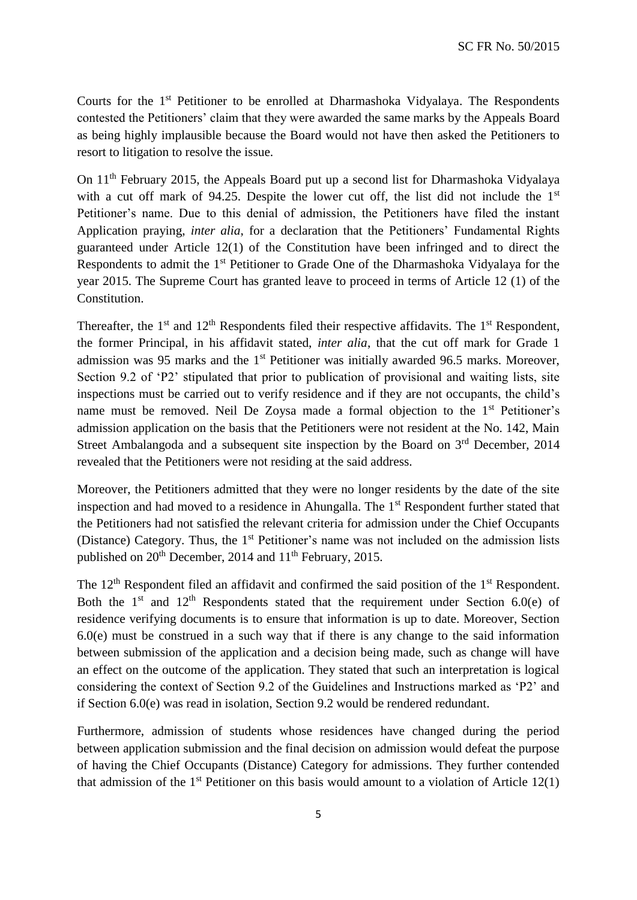Courts for the 1st Petitioner to be enrolled at Dharmashoka Vidyalaya. The Respondents contested the Petitioners' claim that they were awarded the same marks by the Appeals Board as being highly implausible because the Board would not have then asked the Petitioners to resort to litigation to resolve the issue.

On 11th February 2015, the Appeals Board put up a second list for Dharmashoka Vidyalaya with a cut off mark of 94.25. Despite the lower cut off, the list did not include the  $1<sup>st</sup>$ Petitioner's name. Due to this denial of admission, the Petitioners have filed the instant Application praying, *inter alia*, for a declaration that the Petitioners' Fundamental Rights guaranteed under Article 12(1) of the Constitution have been infringed and to direct the Respondents to admit the 1<sup>st</sup> Petitioner to Grade One of the Dharmashoka Vidyalaya for the year 2015. The Supreme Court has granted leave to proceed in terms of Article 12 (1) of the Constitution.

Thereafter, the  $1<sup>st</sup>$  and  $12<sup>th</sup>$  Respondents filed their respective affidavits. The  $1<sup>st</sup>$  Respondent, the former Principal, in his affidavit stated, *inter alia*, that the cut off mark for Grade 1 admission was 95 marks and the 1<sup>st</sup> Petitioner was initially awarded 96.5 marks. Moreover, Section 9.2 of 'P2' stipulated that prior to publication of provisional and waiting lists, site inspections must be carried out to verify residence and if they are not occupants, the child's name must be removed. Neil De Zoysa made a formal objection to the 1<sup>st</sup> Petitioner's admission application on the basis that the Petitioners were not resident at the No. 142, Main Street Ambalangoda and a subsequent site inspection by the Board on  $3<sup>rd</sup>$  December, 2014 revealed that the Petitioners were not residing at the said address.

Moreover, the Petitioners admitted that they were no longer residents by the date of the site inspection and had moved to a residence in Ahungalla. The 1<sup>st</sup> Respondent further stated that the Petitioners had not satisfied the relevant criteria for admission under the Chief Occupants (Distance) Category. Thus, the 1<sup>st</sup> Petitioner's name was not included on the admission lists published on  $20<sup>th</sup>$  December, 2014 and  $11<sup>th</sup>$  February, 2015.

The 12<sup>th</sup> Respondent filed an affidavit and confirmed the said position of the 1<sup>st</sup> Respondent. Both the  $1<sup>st</sup>$  and  $12<sup>th</sup>$  Respondents stated that the requirement under Section 6.0(e) of residence verifying documents is to ensure that information is up to date. Moreover, Section 6.0(e) must be construed in a such way that if there is any change to the said information between submission of the application and a decision being made, such as change will have an effect on the outcome of the application. They stated that such an interpretation is logical considering the context of Section 9.2 of the Guidelines and Instructions marked as 'P2' and if Section 6.0(e) was read in isolation, Section 9.2 would be rendered redundant.

Furthermore, admission of students whose residences have changed during the period between application submission and the final decision on admission would defeat the purpose of having the Chief Occupants (Distance) Category for admissions. They further contended that admission of the  $1<sup>st</sup>$  Petitioner on this basis would amount to a violation of Article 12(1)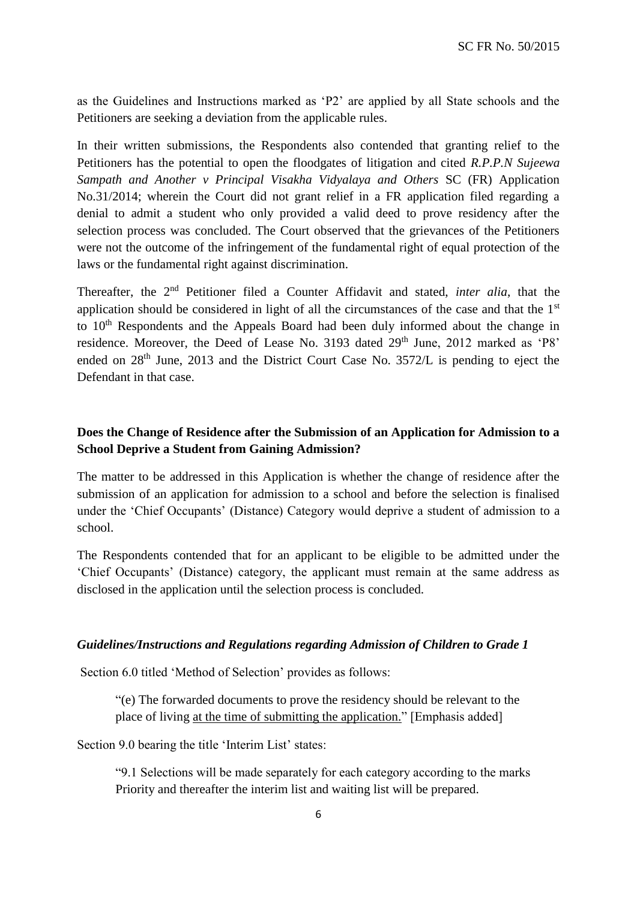as the Guidelines and Instructions marked as 'P2' are applied by all State schools and the Petitioners are seeking a deviation from the applicable rules.

In their written submissions, the Respondents also contended that granting relief to the Petitioners has the potential to open the floodgates of litigation and cited *R.P.P.N Sujeewa Sampath and Another v Principal Visakha Vidyalaya and Others* SC (FR) Application No.31/2014; wherein the Court did not grant relief in a FR application filed regarding a denial to admit a student who only provided a valid deed to prove residency after the selection process was concluded. The Court observed that the grievances of the Petitioners were not the outcome of the infringement of the fundamental right of equal protection of the laws or the fundamental right against discrimination.

Thereafter, the 2nd Petitioner filed a Counter Affidavit and stated, *inter alia*, that the application should be considered in light of all the circumstances of the case and that the  $1<sup>st</sup>$ to 10<sup>th</sup> Respondents and the Appeals Board had been duly informed about the change in residence. Moreover, the Deed of Lease No. 3193 dated 29<sup>th</sup> June, 2012 marked as 'P8' ended on 28<sup>th</sup> June, 2013 and the District Court Case No. 3572/L is pending to eject the Defendant in that case.

# **Does the Change of Residence after the Submission of an Application for Admission to a School Deprive a Student from Gaining Admission?**

The matter to be addressed in this Application is whether the change of residence after the submission of an application for admission to a school and before the selection is finalised under the 'Chief Occupants' (Distance) Category would deprive a student of admission to a school.

The Respondents contended that for an applicant to be eligible to be admitted under the 'Chief Occupants' (Distance) category, the applicant must remain at the same address as disclosed in the application until the selection process is concluded.

### *Guidelines/Instructions and Regulations regarding Admission of Children to Grade 1*

Section 6.0 titled 'Method of Selection' provides as follows:

"(e) The forwarded documents to prove the residency should be relevant to the place of living at the time of submitting the application." [Emphasis added]

Section 9.0 bearing the title 'Interim List' states:

"9.1 Selections will be made separately for each category according to the marks Priority and thereafter the interim list and waiting list will be prepared.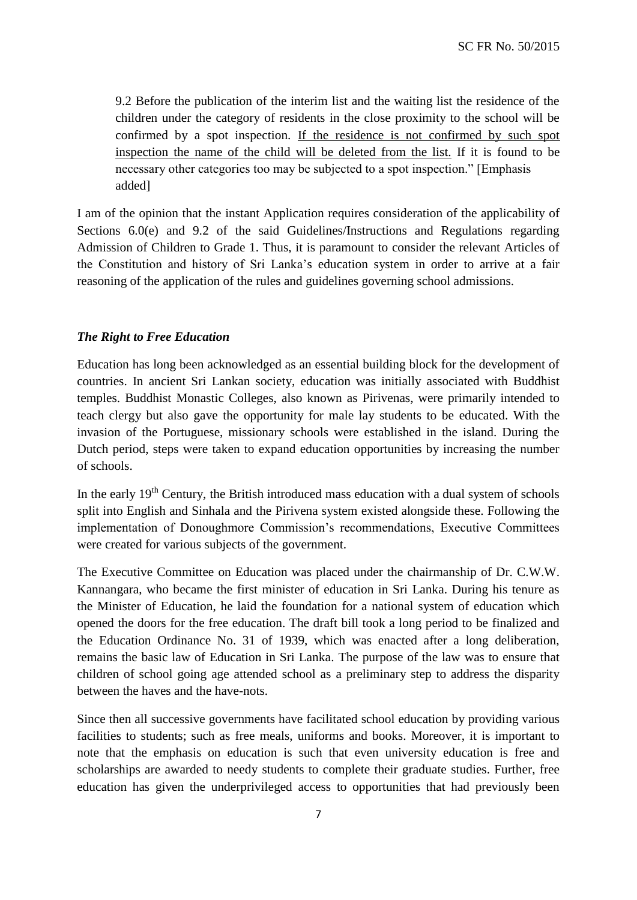9.2 Before the publication of the interim list and the waiting list the residence of the children under the category of residents in the close proximity to the school will be confirmed by a spot inspection. If the residence is not confirmed by such spot inspection the name of the child will be deleted from the list. If it is found to be necessary other categories too may be subjected to a spot inspection." [Emphasis added]

I am of the opinion that the instant Application requires consideration of the applicability of Sections 6.0(e) and 9.2 of the said Guidelines/Instructions and Regulations regarding Admission of Children to Grade 1. Thus, it is paramount to consider the relevant Articles of the Constitution and history of Sri Lanka's education system in order to arrive at a fair reasoning of the application of the rules and guidelines governing school admissions.

### *The Right to Free Education*

Education has long been acknowledged as an essential building block for the development of countries. In ancient Sri Lankan society, education was initially associated with Buddhist temples. Buddhist Monastic Colleges, also known as Pirivenas, were primarily intended to teach clergy but also gave the opportunity for male lay students to be educated. With the invasion of the Portuguese, missionary schools were established in the island. During the Dutch period, steps were taken to expand education opportunities by increasing the number of schools.

In the early  $19<sup>th</sup>$  Century, the British introduced mass education with a dual system of schools split into English and Sinhala and the Pirivena system existed alongside these. Following the implementation of Donoughmore Commission's recommendations, Executive Committees were created for various subjects of the government.

The Executive Committee on Education was placed under the chairmanship of Dr. C.W.W. Kannangara, who became the first minister of education in Sri Lanka. During his tenure as the Minister of Education, he laid the foundation for a national system of education which opened the doors for the free education. The draft bill took a long period to be finalized and the Education Ordinance No. 31 of 1939, which was enacted after a long deliberation, remains the basic law of Education in Sri Lanka. The purpose of the law was to ensure that children of school going age attended school as a preliminary step to address the disparity between the haves and the have-nots.

Since then all successive governments have facilitated school education by providing various facilities to students; such as free meals, uniforms and books. Moreover, it is important to note that the emphasis on education is such that even university education is free and scholarships are awarded to needy students to complete their graduate studies. Further, free education has given the underprivileged access to opportunities that had previously been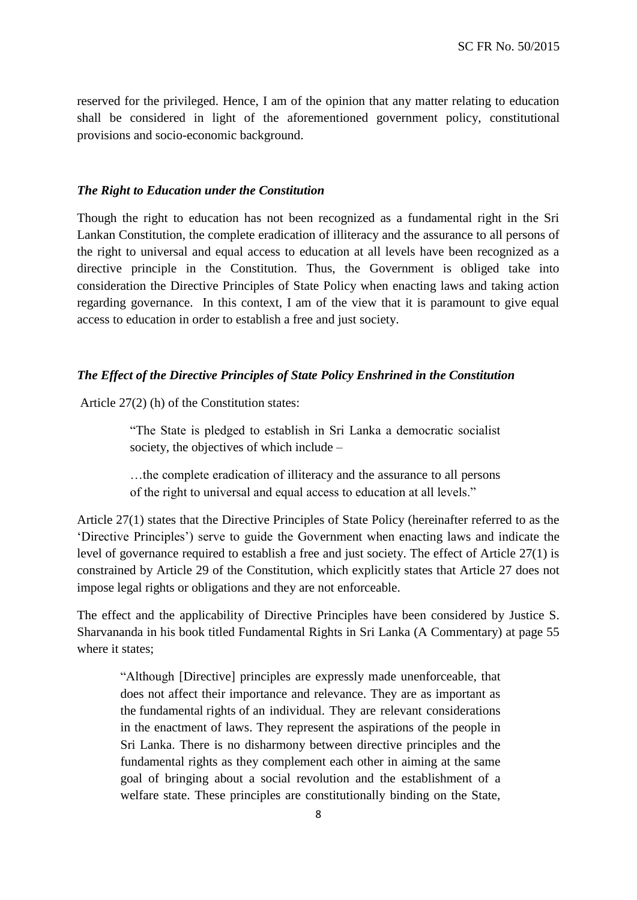reserved for the privileged. Hence, I am of the opinion that any matter relating to education shall be considered in light of the aforementioned government policy, constitutional provisions and socio-economic background.

#### *The Right to Education under the Constitution*

Though the right to education has not been recognized as a fundamental right in the Sri Lankan Constitution, the complete eradication of illiteracy and the assurance to all persons of the right to universal and equal access to education at all levels have been recognized as a directive principle in the Constitution. Thus, the Government is obliged take into consideration the Directive Principles of State Policy when enacting laws and taking action regarding governance. In this context, I am of the view that it is paramount to give equal access to education in order to establish a free and just society.

#### *The Effect of the Directive Principles of State Policy Enshrined in the Constitution*

Article 27(2) (h) of the Constitution states:

"The State is pledged to establish in Sri Lanka a democratic socialist society, the objectives of which include –

…the complete eradication of illiteracy and the assurance to all persons of the right to universal and equal access to education at all levels."

Article 27(1) states that the Directive Principles of State Policy (hereinafter referred to as the 'Directive Principles') serve to guide the Government when enacting laws and indicate the level of governance required to establish a free and just society. The effect of Article 27(1) is constrained by Article 29 of the Constitution, which explicitly states that Article 27 does not impose legal rights or obligations and they are not enforceable.

The effect and the applicability of Directive Principles have been considered by Justice S. Sharvananda in his book titled Fundamental Rights in Sri Lanka (A Commentary) at page 55 where it states;

"Although [Directive] principles are expressly made unenforceable, that does not affect their importance and relevance. They are as important as the fundamental rights of an individual. They are relevant considerations in the enactment of laws. They represent the aspirations of the people in Sri Lanka. There is no disharmony between directive principles and the fundamental rights as they complement each other in aiming at the same goal of bringing about a social revolution and the establishment of a welfare state. These principles are constitutionally binding on the State,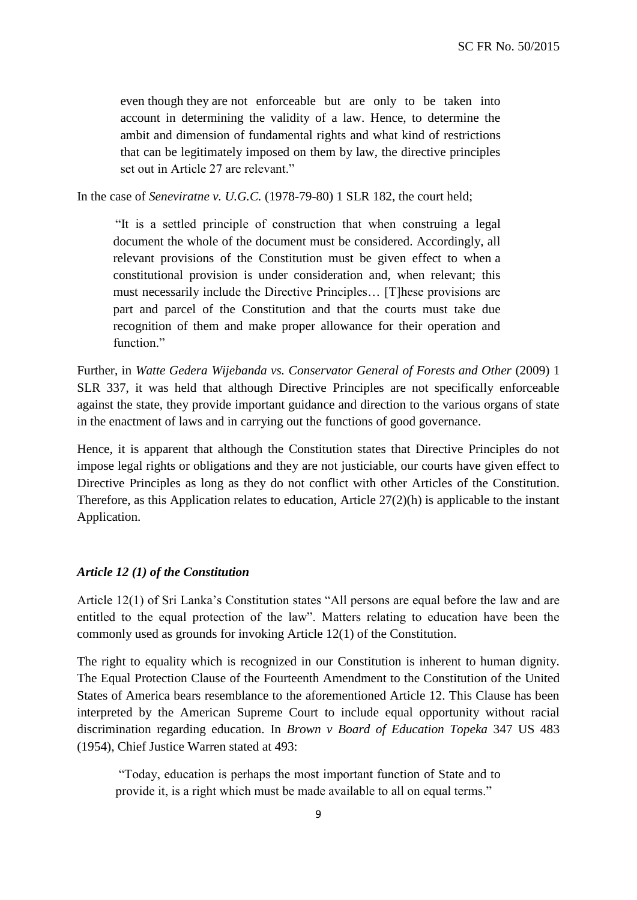even though they are not enforceable but are only to be taken into account in determining the validity of a law. Hence, to determine the ambit and dimension of fundamental rights and what kind of restrictions that can be legitimately imposed on them by law, the directive principles set out in Article 27 are relevant."

In the case of *Seneviratne v. U.G.C.* (1978-79-80) 1 SLR 182, the court held;

"It is a settled principle of construction that when construing a legal document the whole of the document must be considered. Accordingly, all relevant provisions of the Constitution must be given effect to when a constitutional provision is under consideration and, when relevant; this must necessarily include the Directive Principles… [T]hese provisions are part and parcel of the Constitution and that the courts must take due recognition of them and make proper allowance for their operation and function."

Further, in *Watte Gedera Wijebanda vs. Conservator General of Forests and Other* (2009) 1 SLR 337, it was held that although Directive Principles are not specifically enforceable against the state, they provide important guidance and direction to the various organs of state in the enactment of laws and in carrying out the functions of good governance.

Hence, it is apparent that although the Constitution states that Directive Principles do not impose legal rights or obligations and they are not justiciable, our courts have given effect to Directive Principles as long as they do not conflict with other Articles of the Constitution. Therefore, as this Application relates to education, Article 27(2)(h) is applicable to the instant Application.

#### *Article 12 (1) of the Constitution*

Article 12(1) of Sri Lanka's Constitution states "All persons are equal before the law and are entitled to the equal protection of the law". Matters relating to education have been the commonly used as grounds for invoking Article 12(1) of the Constitution.

The right to equality which is recognized in our Constitution is inherent to human dignity. The Equal Protection Clause of the Fourteenth Amendment to the Constitution of the United States of America bears resemblance to the aforementioned Article 12. This Clause has been interpreted by the American Supreme Court to include equal opportunity without racial discrimination regarding education. In *Brown v Board of Education Topeka* 347 US 483 (1954), Chief Justice Warren stated at 493:

"Today, education is perhaps the most important function of State and to provide it, is a right which must be made available to all on equal terms."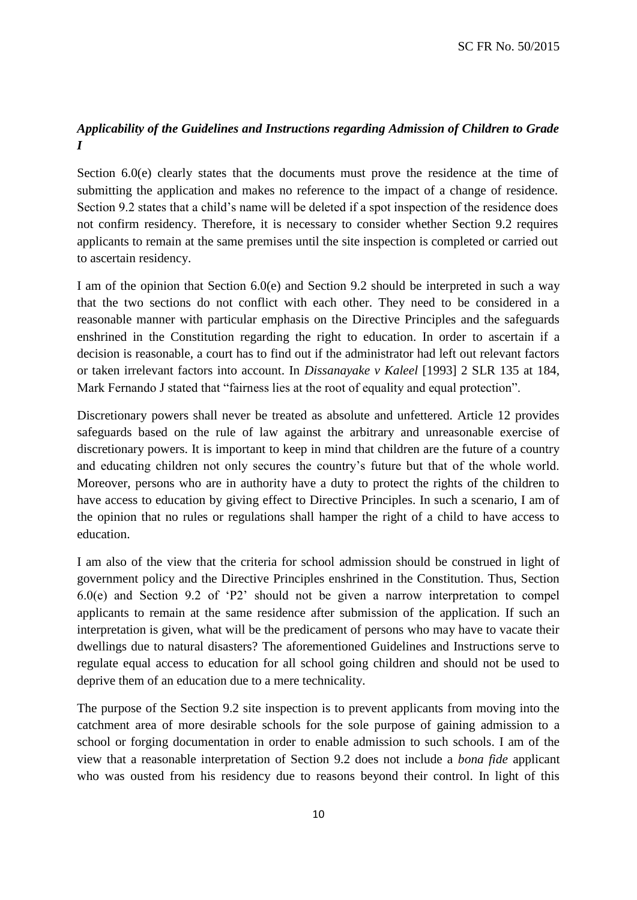# *Applicability of the Guidelines and Instructions regarding Admission of Children to Grade I*

Section 6.0(e) clearly states that the documents must prove the residence at the time of submitting the application and makes no reference to the impact of a change of residence. Section 9.2 states that a child's name will be deleted if a spot inspection of the residence does not confirm residency. Therefore, it is necessary to consider whether Section 9.2 requires applicants to remain at the same premises until the site inspection is completed or carried out to ascertain residency.

I am of the opinion that Section 6.0(e) and Section 9.2 should be interpreted in such a way that the two sections do not conflict with each other. They need to be considered in a reasonable manner with particular emphasis on the Directive Principles and the safeguards enshrined in the Constitution regarding the right to education. In order to ascertain if a decision is reasonable, a court has to find out if the administrator had left out relevant factors or taken irrelevant factors into account. In *Dissanayake v Kaleel* [1993] 2 SLR 135 at 184, Mark Fernando J stated that "fairness lies at the root of equality and equal protection".

Discretionary powers shall never be treated as absolute and unfettered. Article 12 provides safeguards based on the rule of law against the arbitrary and unreasonable exercise of discretionary powers. It is important to keep in mind that children are the future of a country and educating children not only secures the country's future but that of the whole world. Moreover, persons who are in authority have a duty to protect the rights of the children to have access to education by giving effect to Directive Principles. In such a scenario, I am of the opinion that no rules or regulations shall hamper the right of a child to have access to education.

I am also of the view that the criteria for school admission should be construed in light of government policy and the Directive Principles enshrined in the Constitution. Thus, Section 6.0(e) and Section 9.2 of 'P2' should not be given a narrow interpretation to compel applicants to remain at the same residence after submission of the application. If such an interpretation is given, what will be the predicament of persons who may have to vacate their dwellings due to natural disasters? The aforementioned Guidelines and Instructions serve to regulate equal access to education for all school going children and should not be used to deprive them of an education due to a mere technicality.

The purpose of the Section 9.2 site inspection is to prevent applicants from moving into the catchment area of more desirable schools for the sole purpose of gaining admission to a school or forging documentation in order to enable admission to such schools. I am of the view that a reasonable interpretation of Section 9.2 does not include a *bona fide* applicant who was ousted from his residency due to reasons beyond their control. In light of this